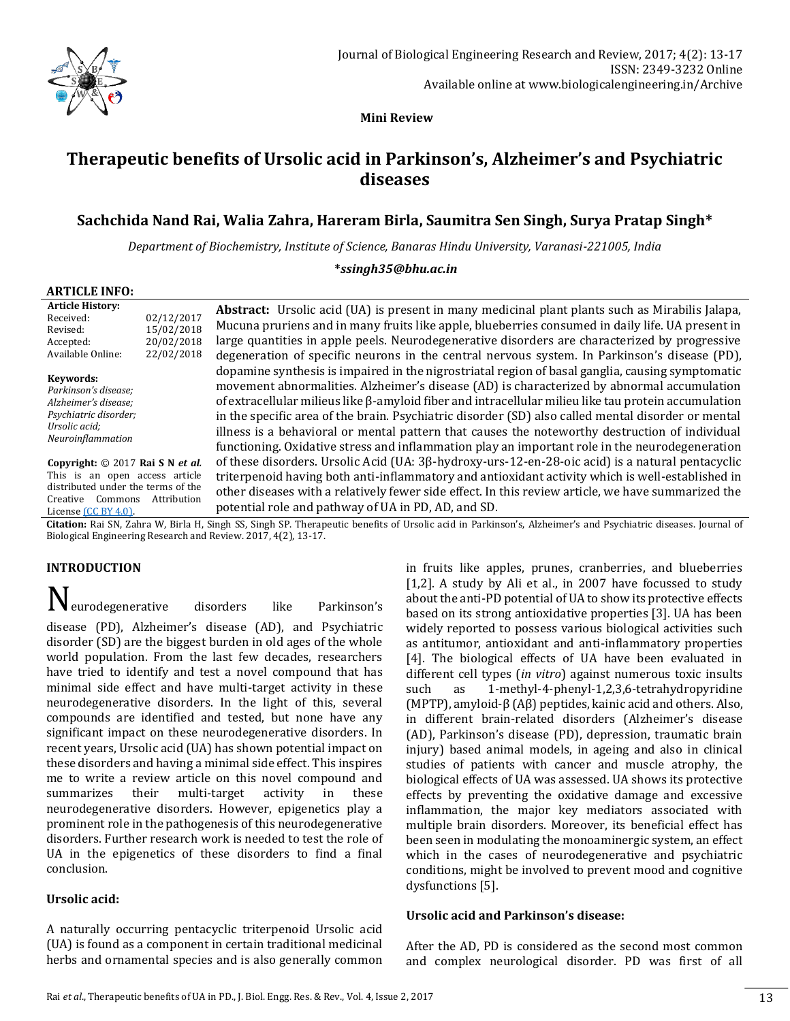

 **Mini Review**

# **Therapeutic benefits of Ursolic acid in Parkinson's, Alzheimer's and Psychiatric diseases**

# **Sachchida Nand Rai, Walia Zahra, Hareram Birla, Saumitra Sen Singh, Surya Pratap Singh\***

*Department of Biochemistry, Institute of Science, Banaras Hindu University, Varanasi-221005, India* 

#### **\****ssingh35@bhu.ac.in*

### **ARTICLE INFO:**

| <b>Article History:</b><br>02/12/2017<br>Received:<br>15/02/2018<br>Revised:<br>20/02/2018<br>Accepted:<br>Available Online:<br>22/02/2018                             | <b>Abstract:</b> Ursolic acid (UA) is present in many medicinal plant plants such as Mirabilis Jalapa,<br>Mucuna pruriens and in many fruits like apple, blueberries consumed in daily life. UA present in<br>large quantities in apple peels. Neurodegenerative disorders are characterized by progressive<br>degeneration of specific neurons in the central nervous system. In Parkinson's disease (PD),                                                                                                                                                                                                             |
|------------------------------------------------------------------------------------------------------------------------------------------------------------------------|-------------------------------------------------------------------------------------------------------------------------------------------------------------------------------------------------------------------------------------------------------------------------------------------------------------------------------------------------------------------------------------------------------------------------------------------------------------------------------------------------------------------------------------------------------------------------------------------------------------------------|
| Keywords:<br>Parkinson's disease;<br>Alzheimer's disease;<br>Psychiatric disorder;<br>Ursolic acid;<br>Neuroinflammation                                               | dopamine synthesis is impaired in the nigrostriatal region of basal ganglia, causing symptomatic<br>movement abnormalities. Alzheimer's disease (AD) is characterized by abnormal accumulation<br>of extracellular milieus like $\beta$ -amyloid fiber and intracellular milieu like tau protein accumulation<br>in the specific area of the brain. Psychiatric disorder (SD) also called mental disorder or mental<br>illness is a behavioral or mental pattern that causes the noteworthy destruction of individual<br>functioning. Oxidative stress and inflammation play an important role in the neurodegeneration |
| Copyright: © 2017 Rai S N et al.<br>This is an open access article<br>distributed under the terms of the<br>Attribution<br>Commons<br>Creative<br>License (CC BY 4.0). | of these disorders. Ursolic Acid (UA: $3\beta$ -hydroxy-urs-12-en-28-oic acid) is a natural pentacyclic<br>triterpenoid having both anti-inflammatory and antioxidant activity which is well-established in<br>other diseases with a relatively fewer side effect. In this review article, we have summarized the<br>potential role and pathway of UA in PD, AD, and SD.<br>$C11.11$ Dec $C1.111$ W. D. 1. H. $C1.11$ $C1.11$ $C1.11$ $C1.11$ $C1.11$ $C1.11$ $C1.11$ $C1.11$ $C1.11$ $C1.11$ $C1.11$ $C1.11$ $C1.11$ $C1.11$ $C1.11$ $C1.11$ $C1.11$ $C1.11$ $C1.11$ $C1.11$ $C1.1$                                    |

**Citation:** Rai SN, Zahra W, Birla H, Singh SS, Singh SP. Therapeutic benefits of Ursolic acid in Parkinson's, Alzheimer's and Psychiatric diseases. Journal of Biological Engineering Research and Review. 2017, 4(2), 13-17.

# **INTRODUCTION**

Neurodegenerative disorders like Parkinson's disease (PD), Alzheimer's disease (AD), and Psychiatric disorder (SD) are the biggest burden in old ages of the whole world population. From the last few decades, researchers have tried to identify and test a novel compound that has minimal side effect and have multi-target activity in these neurodegenerative disorders. In the light of this, several compounds are identified and tested, but none have any significant impact on these neurodegenerative disorders. In recent years, Ursolic acid (UA) has shown potential impact on these disorders and having a minimal side effect. This inspires me to write a review article on this novel compound and summarizes their multi-target activity in these neurodegenerative disorders. However, epigenetics play a prominent role in the pathogenesis of this neurodegenerative disorders. Further research work is needed to test the role of UA in the epigenetics of these disorders to find a final conclusion.

#### **Ursolic acid:**

A naturally occurring pentacyclic triterpenoid Ursolic acid (UA) is found as a component in certain traditional medicinal herbs and ornamental species and is also generally common in fruits like apples, prunes, cranberries, and blueberries [1,2]. A study by Ali et al., in 2007 have focussed to study about the anti-PD potential of UA to show its protective effects based on its strong antioxidative properties [3]. UA has been widely reported to possess various biological activities such as antitumor, antioxidant and anti-inflammatory properties [4]. The biological effects of UA have been evaluated in different cell types (*in vitro*) against numerous toxic insults such as 1-methyl-4-phenyl-1,2,3,6-tetrahydropyridine (MPTP), amyloid-β (Aβ) peptides, kainic acid and others. Also, in different brain-related disorders (Alzheimer's disease (AD), Parkinson's disease (PD), depression, traumatic brain injury) based animal models, in ageing and also in clinical studies of patients with cancer and muscle atrophy, the biological effects of UA was assessed. UA shows its protective effects by preventing the oxidative damage and excessive inflammation, the major key mediators associated with multiple brain disorders. Moreover, its beneficial effect has been seen in modulating the monoaminergic system, an effect which in the cases of neurodegenerative and psychiatric conditions, might be involved to prevent mood and cognitive dysfunctions [5].

#### **Ursolic acid and Parkinson's disease:**

After the AD, PD is considered as the second most common and complex neurological disorder. PD was first of all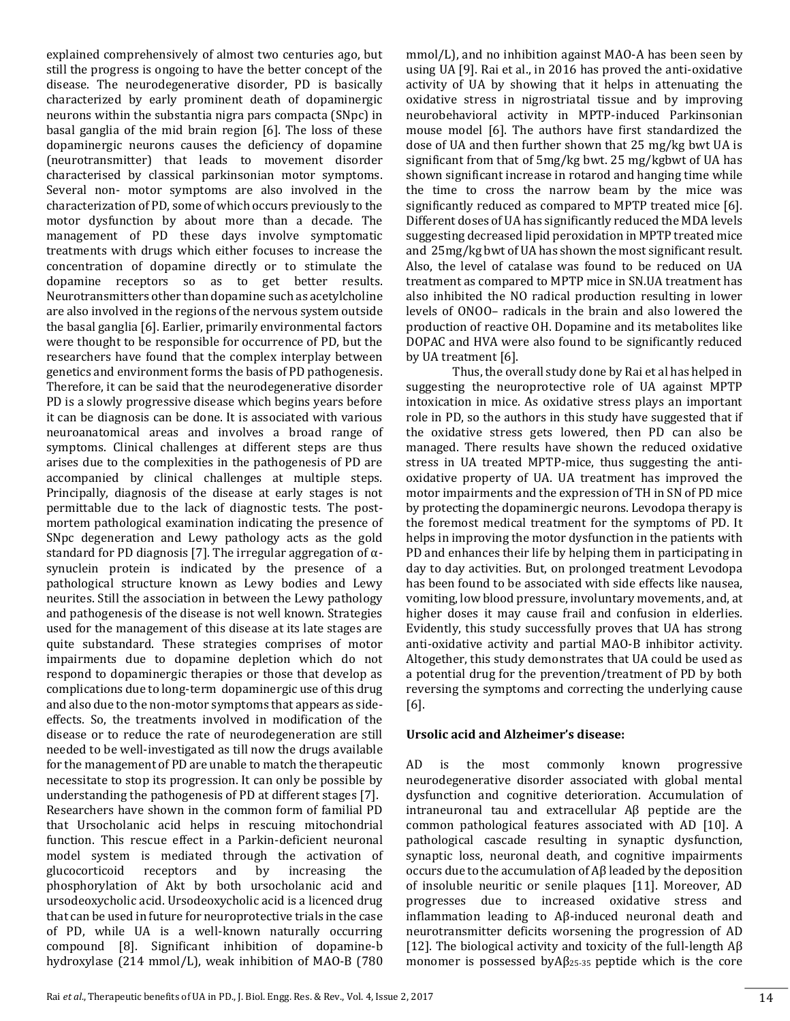explained comprehensively of almost two centuries ago, but still the progress is ongoing to have the better concept of the disease. The neurodegenerative disorder, PD is basically characterized by early prominent death of dopaminergic neurons within the substantia nigra pars compacta (SNpc) in basal ganglia of the mid brain region [6]. The loss of these dopaminergic neurons causes the deficiency of dopamine (neurotransmitter) that leads to movement disorder characterised by classical parkinsonian motor symptoms. Several non- motor symptoms are also involved in the characterization of PD, some of which occurs previously to the motor dysfunction by about more than a decade. The management of PD these days involve symptomatic treatments with drugs which either focuses to increase the concentration of dopamine directly or to stimulate the dopamine receptors so as to get better results. Neurotransmitters other than dopamine such as acetylcholine are also involved in the regions of the nervous system outside the basal ganglia [6]. Earlier, primarily environmental factors were thought to be responsible for occurrence of PD, but the researchers have found that the complex interplay between genetics and environment forms the basis of PD pathogenesis. Therefore, it can be said that the neurodegenerative disorder PD is a slowly progressive disease which begins years before it can be diagnosis can be done. It is associated with various neuroanatomical areas and involves a broad range of symptoms. Clinical challenges at different steps are thus arises due to the complexities in the pathogenesis of PD are accompanied by clinical challenges at multiple steps. Principally, diagnosis of the disease at early stages is not permittable due to the lack of diagnostic tests. The postmortem pathological examination indicating the presence of SNpc degeneration and Lewy pathology acts as the gold standard for PD diagnosis [7]. The irregular aggregation of αsynuclein protein is indicated by the presence of a pathological structure known as Lewy bodies and Lewy neurites. Still the association in between the Lewy pathology and pathogenesis of the disease is not well known. Strategies used for the management of this disease at its late stages are quite substandard. These strategies comprises of motor impairments due to dopamine depletion which do not respond to dopaminergic therapies or those that develop as complications due to long-term dopaminergic use of this drug and also due to the non-motor symptoms that appears as sideeffects. So, the treatments involved in modification of the disease or to reduce the rate of neurodegeneration are still needed to be well-investigated as till now the drugs available for the management of PD are unable to match the therapeutic necessitate to stop its progression. It can only be possible by understanding the pathogenesis of PD at different stages [7]. Researchers have shown in the common form of familial PD that Ursocholanic acid helps in rescuing mitochondrial function. This rescue effect in a Parkin-deficient neuronal model system is mediated through the activation of glucocorticoid receptors and by increasing the phosphorylation of Akt by both ursocholanic acid and ursodeoxycholic acid. Ursodeoxycholic acid is a licenced drug that can be used in future for neuroprotective trials in the case of PD, while UA is a well-known naturally occurring compound [8]. Significant inhibition of dopamine-b hydroxylase (214 mmol/L), weak inhibition of MAO-B (780

mmol/L), and no inhibition against MAO-A has been seen by using UA [9]. Rai et al., in 2016 has proved the anti-oxidative activity of UA by showing that it helps in attenuating the oxidative stress in nigrostriatal tissue and by improving neurobehavioral activity in MPTP-induced Parkinsonian mouse model [6]. The authors have first standardized the dose of UA and then further shown that 25 mg/kg bwt UA is significant from that of 5mg/kg bwt. 25 mg/kgbwt of UA has shown significant increase in rotarod and hanging time while the time to cross the narrow beam by the mice was significantly reduced as compared to MPTP treated mice [6]. Different doses of UA has significantly reduced the MDA levels suggesting decreased lipid peroxidation in MPTP treated mice and 25mg/kg bwt of UA has shown the most significant result. Also, the level of catalase was found to be reduced on UA treatment as compared to MPTP mice in SN.UA treatment has also inhibited the NO radical production resulting in lower levels of ONOO– radicals in the brain and also lowered the production of reactive OH. Dopamine and its metabolites like DOPAC and HVA were also found to be significantly reduced by UA treatment [6].

Thus, the overall study done by Rai et al has helped in suggesting the neuroprotective role of UA against MPTP intoxication in mice. As oxidative stress plays an important role in PD, so the authors in this study have suggested that if the oxidative stress gets lowered, then PD can also be managed. There results have shown the reduced oxidative stress in UA treated MPTP-mice, thus suggesting the antioxidative property of UA. UA treatment has improved the motor impairments and the expression of TH in SN of PD mice by protecting the dopaminergic neurons. Levodopa therapy is the foremost medical treatment for the symptoms of PD. It helps in improving the motor dysfunction in the patients with PD and enhances their life by helping them in participating in day to day activities. But, on prolonged treatment Levodopa has been found to be associated with side effects like nausea, vomiting, low blood pressure, involuntary movements, and, at higher doses it may cause frail and confusion in elderlies. Evidently, this study successfully proves that UA has strong anti-oxidative activity and partial MAO-B inhibitor activity. Altogether, this study demonstrates that UA could be used as a potential drug for the prevention/treatment of PD by both reversing the symptoms and correcting the underlying cause [6].

#### **Ursolic acid and Alzheimer's disease:**

AD is the most commonly known progressive neurodegenerative disorder associated with global mental dysfunction and cognitive deterioration. Accumulation of intraneuronal tau and extracellular Aβ peptide are the common pathological features associated with AD [10]. A pathological cascade resulting in synaptic dysfunction, synaptic loss, neuronal death, and cognitive impairments occurs due to the accumulation of Aβ leaded by the deposition of insoluble neuritic or senile plaques [11]. Moreover, AD progresses due to increased oxidative stress and inflammation leading to Aβ-induced neuronal death and neurotransmitter deficits worsening the progression of AD [12]. The biological activity and toxicity of the full-length  $\overrightarrow{AB}$ monomer is possessed by $A\beta_{25-35}$  peptide which is the core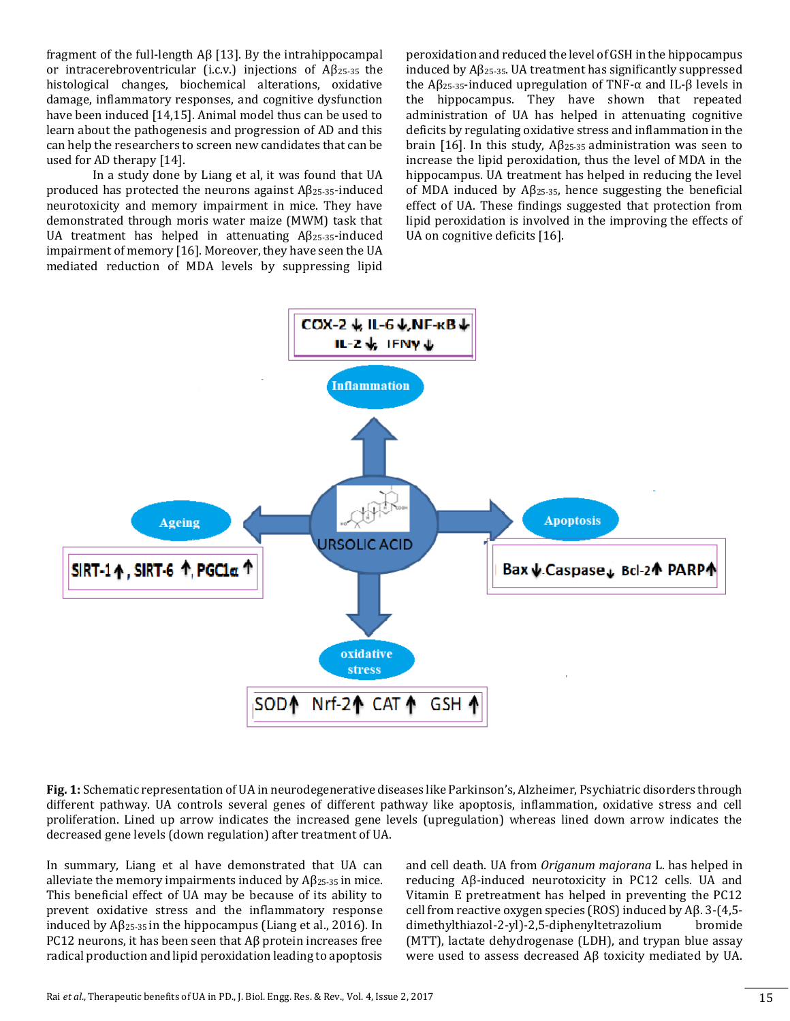fragment of the full-length Aβ [13]. By the intrahippocampal or intracerebroventricular (i.c.v.) injections of Aβ25-35 the histological changes, biochemical alterations, oxidative damage, inflammatory responses, and cognitive dysfunction have been induced [14,15]. Animal model thus can be used to learn about the pathogenesis and progression of AD and this can help the researchers to screen new candidates that can be used for AD therapy [14].

In a study done by Liang et al, it was found that UA produced has protected the neurons against  $A\beta_{25-35}$ -induced neurotoxicity and memory impairment in mice. They have demonstrated through moris water maize (MWM) task that UA treatment has helped in attenuating  $\text{A}\beta_{25-35}$ -induced impairment of memory [16]. Moreover, they have seen the UA mediated reduction of MDA levels by suppressing lipid peroxidation and reduced the level of GSH in the hippocampus induced by  $A\beta_{25-35}$ . UA treatment has significantly suppressed the Aβ<sub>25-35</sub>-induced upregulation of TNF-α and IL-β levels in the hippocampus. They have shown that repeated administration of UA has helped in attenuating cognitive deficits by regulating oxidative stress and inflammation in the brain [16]. In this study,  $Aβ<sub>25-35</sub>$  administration was seen to increase the lipid peroxidation, thus the level of MDA in the hippocampus. UA treatment has helped in reducing the level of MDA induced by Aβ25-35, hence suggesting the beneficial effect of UA. These findings suggested that protection from lipid peroxidation is involved in the improving the effects of UA on cognitive deficits [16].



**Fig. 1:** Schematic representation of UA in neurodegenerative diseases like Parkinson's, Alzheimer, Psychiatric disorders through different pathway. UA controls several genes of different pathway like apoptosis, inflammation, oxidative stress and cell proliferation. Lined up arrow indicates the increased gene levels (upregulation) whereas lined down arrow indicates the decreased gene levels (down regulation) after treatment of UA.

In summary, Liang et al have demonstrated that UA can alleviate the memory impairments induced by  $A\beta_{25\cdot35}$  in mice. This beneficial effect of UA may be because of its ability to prevent oxidative stress and the inflammatory response induced by  $\text{A} \beta_{25-35}$  in the hippocampus (Liang et al., 2016). In PC12 neurons, it has been seen that Aβ protein increases free radical production and lipid peroxidation leading to apoptosis

and cell death. UA from *Origanum majorana* L. has helped in reducing Aβ-induced neurotoxicity in PC12 cells. UA and Vitamin E pretreatment has helped in preventing the PC12 cell from reactive oxygen species (ROS) induced by Aβ. 3-(4,5 dimethylthiazol-2-yl)-2,5-diphenyltetrazolium bromide (MTT), lactate dehydrogenase (LDH), and trypan blue assay were used to assess decreased Aβ toxicity mediated by UA.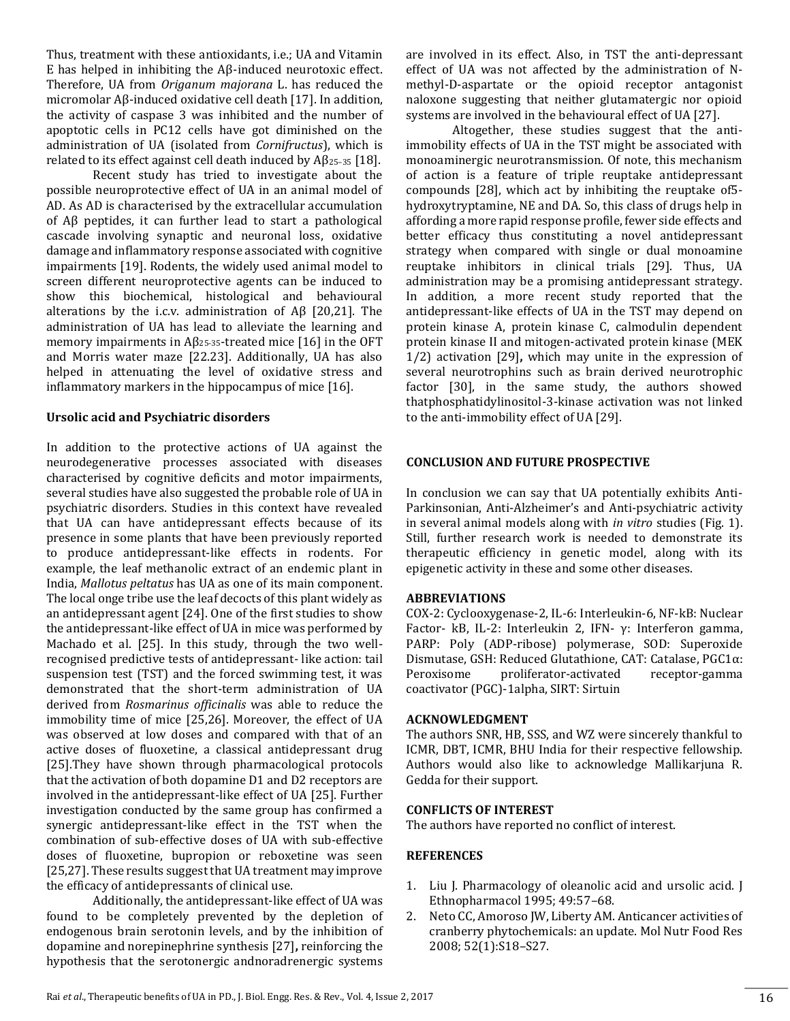Thus, treatment with these antioxidants, i.e.; UA and Vitamin E has helped in inhibiting the Aβ-induced neurotoxic effect. Therefore, UA from *Origanum majorana* L. has reduced the micromolar Aβ-induced oxidative cell death [17]. In addition, the activity of caspase 3 was inhibited and the number of apoptotic cells in PC12 cells have got diminished on the administration of UA (isolated from *Cornifructus*), which is related to its effect against cell death induced by  $\mathbf{A}\beta_{25-35}$  [18].

Recent study has tried to investigate about the possible neuroprotective effect of UA in an animal model of AD. As AD is characterised by the extracellular accumulation of Aβ peptides, it can further lead to start a pathological cascade involving synaptic and neuronal loss, oxidative damage and inflammatory response associated with cognitive impairments [19]. Rodents, the widely used animal model to screen different neuroprotective agents can be induced to show this biochemical, histological and behavioural alterations by the i.c.v. administration of Aβ [20,21]. The administration of UA has lead to alleviate the learning and memory impairments in  $A\beta_{25-35}$ -treated mice [16] in the OFT and Morris water maze [22.23]. Additionally, UA has also helped in attenuating the level of oxidative stress and inflammatory markers in the hippocampus of mice [16].

#### **Ursolic acid and Psychiatric disorders**

In addition to the protective actions of UA against the neurodegenerative processes associated with diseases characterised by cognitive deficits and motor impairments, several studies have also suggested the probable role of UA in psychiatric disorders. Studies in this context have revealed that UA can have antidepressant effects because of its presence in some plants that have been previously reported to produce antidepressant-like effects in rodents. For example, the leaf methanolic extract of an endemic plant in India, *Mallotus peltatus* has UA as one of its main component. The local onge tribe use the leaf decocts of this plant widely as an antidepressant agent [24]. One of the first studies to show the antidepressant-like effect of UA in mice was performed by Machado et al. [25]. In this study, through the two wellrecognised predictive tests of antidepressant- like action: tail suspension test (TST) and the forced swimming test, it was demonstrated that the short-term administration of UA derived from *Rosmarinus officinalis* was able to reduce the immobility time of mice [25,26]. Moreover, the effect of UA was observed at low doses and compared with that of an active doses of fluoxetine, a classical antidepressant drug [25].They have shown through pharmacological protocols that the activation of both dopamine D1 and D2 receptors are involved in the antidepressant-like effect of UA [25]. Further investigation conducted by the same group has confirmed a synergic antidepressant-like effect in the TST when the combination of sub-effective doses of UA with sub-effective doses of fluoxetine, bupropion or reboxetine was seen [25,27]. These results suggest that UA treatment may improve the efficacy of antidepressants of clinical use.

Additionally, the antidepressant-like effect of UA was found to be completely prevented by the depletion of endogenous brain serotonin levels, and by the inhibition of dopamine and norepinephrine synthesis [27]**,** reinforcing the hypothesis that the serotonergic andnoradrenergic systems are involved in its effect. Also, in TST the anti-depressant effect of UA was not affected by the administration of Nmethyl-D-aspartate or the opioid receptor antagonist naloxone suggesting that neither glutamatergic nor opioid systems are involved in the behavioural effect of UA [27].

Altogether, these studies suggest that the antiimmobility effects of UA in the TST might be associated with monoaminergic neurotransmission. Of note, this mechanism of action is a feature of triple reuptake antidepressant compounds [28], which act by inhibiting the reuptake of5 hydroxytryptamine, NE and DA. So, this class of drugs help in affording a more rapid response profile, fewer side effects and better efficacy thus constituting a novel antidepressant strategy when compared with single or dual monoamine reuptake inhibitors in clinical trials [29]. Thus, UA administration may be a promising antidepressant strategy. In addition, a more recent study reported that the antidepressant-like effects of UA in the TST may depend on protein kinase A, protein kinase C, calmodulin dependent protein kinase II and mitogen-activated protein kinase (MEK 1/2) activation [29]**,** which may unite in the expression of several neurotrophins such as brain derived neurotrophic factor [30], in the same study, the authors showed thatphosphatidylinositol-3-kinase activation was not linked to the anti-immobility effect of UA [29].

#### **CONCLUSION AND FUTURE PROSPECTIVE**

In conclusion we can say that UA potentially exhibits Anti-Parkinsonian, Anti-Alzheimer's and Anti-psychiatric activity in several animal models along with *in vitro* studies (Fig. 1). Still, further research work is needed to demonstrate its therapeutic efficiency in genetic model, along with its epigenetic activity in these and some other diseases.

#### **ABBREVIATIONS**

COX-2: Cyclooxygenase-2, IL-6: Interleukin-6, NF-kB: Nuclear Factor- kB, IL-2: Interleukin 2, IFN- γ: Interferon gamma, PARP: Poly (ADP-ribose) polymerase, SOD: Superoxide Dismutase, GSH: Reduced Glutathione, CAT: Catalase, PGC1α: Peroxisome proliferator-activated receptor-gamma coactivator (PGC)-1alpha, SIRT: Sirtuin

#### **ACKNOWLEDGMENT**

The authors SNR, HB, SSS, and WZ were sincerely thankful to ICMR, DBT, ICMR, BHU India for their respective fellowship. Authors would also like to acknowledge Mallikarjuna R. Gedda for their support.

#### **CONFLICTS OF INTEREST**

The authors have reported no conflict of interest.

#### **REFERENCES**

- 1. Liu J. Pharmacology of oleanolic acid and ursolic acid. J Ethnopharmacol 1995; 49:57–68.
- 2. Neto CC, Amoroso JW, Liberty AM. Anticancer activities of cranberry phytochemicals: an update. Mol Nutr Food Res 2008; 52(1):S18–S27.